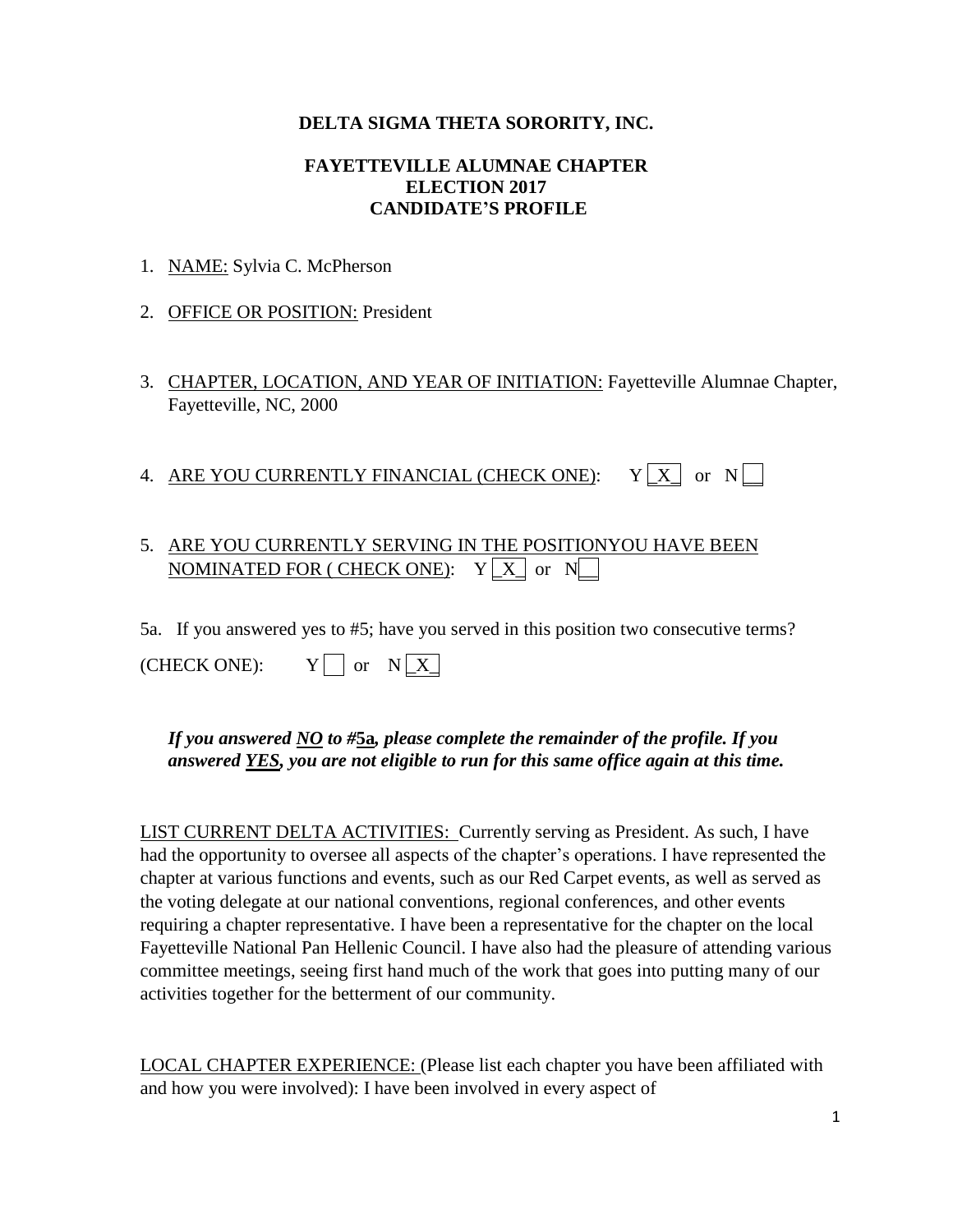### **DELTA SIGMA THETA SORORITY, INC.**

#### **FAYETTEVILLE ALUMNAE CHAPTER ELECTION 2017 CANDIDATE'S PROFILE**

- 1. NAME: Sylvia C. McPherson
- 2. OFFICE OR POSITION: President
- 3. CHAPTER, LOCATION, AND YEAR OF INITIATION: Fayetteville Alumnae Chapter, Fayetteville, NC, 2000
- 4. ARE YOU CURRENTLY FINANCIAL (CHECK ONE):  $Y[X]$  or  $N$

## 5. ARE YOU CURRENTLY SERVING IN THE POSITIONYOU HAVE BEEN  $\mathop{\rm NOMINATED}$  FOR ( CHECK ONE):  $\quad$  Y  $\lfloor$  X  $\rfloor$  or  $\,$  N $\lfloor$   $\!$

5a. If you answered yes to #5; have you served in this position two consecutive terms?

 $(CHECK ONE): Y \cap or N X$ 

### *If you answered NO to #***5a***, please complete the remainder of the profile. If you answered YES, you are not eligible to run for this same office again at this time.*

LIST CURRENT DELTA ACTIVITIES: Currently serving as President. As such, I have had the opportunity to oversee all aspects of the chapter's operations. I have represented the chapter at various functions and events, such as our Red Carpet events, as well as served as the voting delegate at our national conventions, regional conferences, and other events requiring a chapter representative. I have been a representative for the chapter on the local Fayetteville National Pan Hellenic Council. I have also had the pleasure of attending various committee meetings, seeing first hand much of the work that goes into putting many of our activities together for the betterment of our community.

LOCAL CHAPTER EXPERIENCE: (Please list each chapter you have been affiliated with and how you were involved): I have been involved in every aspect of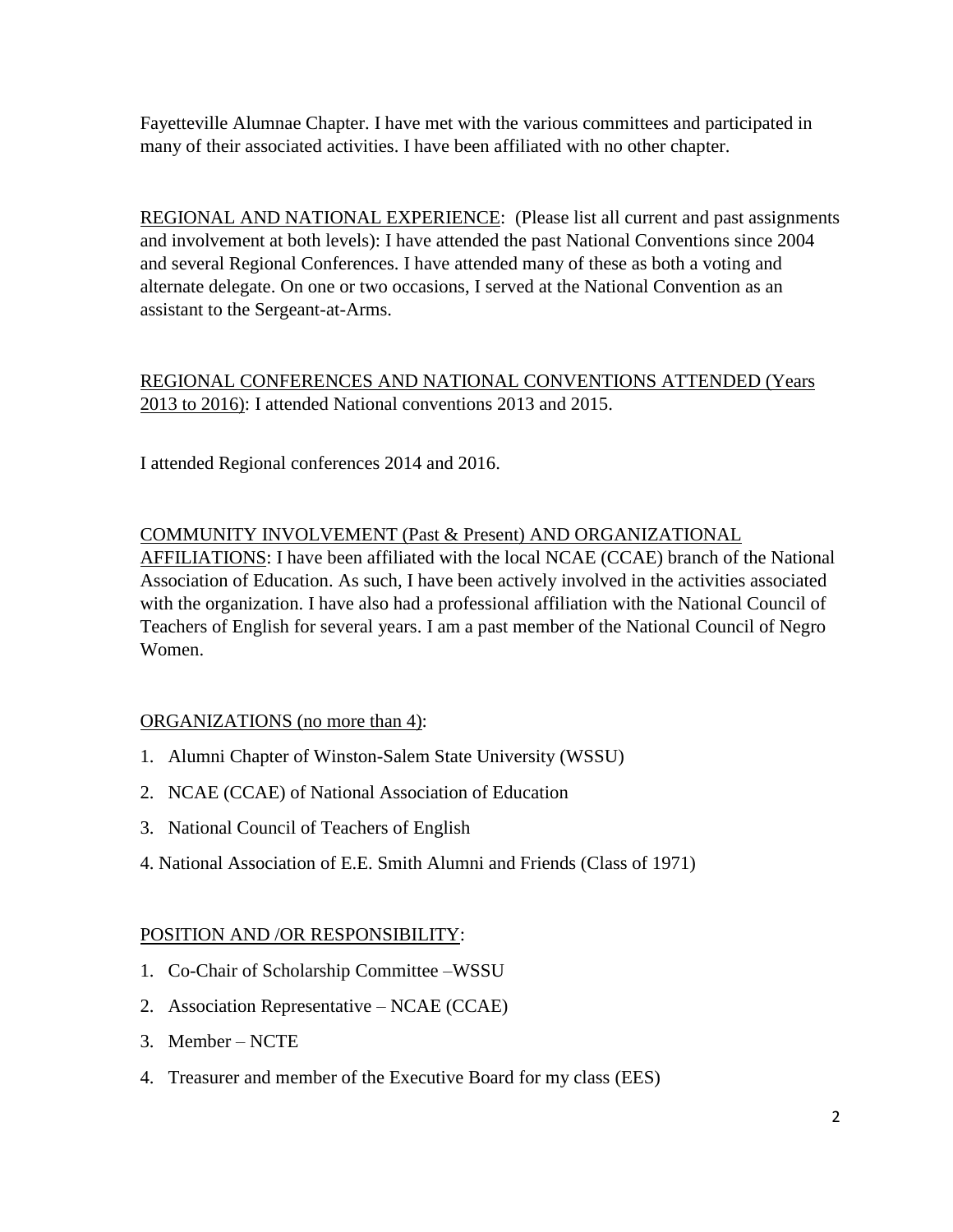Fayetteville Alumnae Chapter. I have met with the various committees and participated in many of their associated activities. I have been affiliated with no other chapter.

REGIONAL AND NATIONAL EXPERIENCE: (Please list all current and past assignments and involvement at both levels): I have attended the past National Conventions since 2004 and several Regional Conferences. I have attended many of these as both a voting and alternate delegate. On one or two occasions, I served at the National Convention as an assistant to the Sergeant-at-Arms.

# REGIONAL CONFERENCES AND NATIONAL CONVENTIONS ATTENDED (Years 2013 to 2016): I attended National conventions 2013 and 2015.

I attended Regional conferences 2014 and 2016.

### COMMUNITY INVOLVEMENT (Past & Present) AND ORGANIZATIONAL

AFFILIATIONS: I have been affiliated with the local NCAE (CCAE) branch of the National Association of Education. As such, I have been actively involved in the activities associated with the organization. I have also had a professional affiliation with the National Council of Teachers of English for several years. I am a past member of the National Council of Negro Women.

### ORGANIZATIONS (no more than 4):

- 1. Alumni Chapter of Winston-Salem State University (WSSU)
- 2. NCAE (CCAE) of National Association of Education
- 3. National Council of Teachers of English
- 4. National Association of E.E. Smith Alumni and Friends (Class of 1971)

### POSITION AND /OR RESPONSIBILITY:

- 1. Co-Chair of Scholarship Committee –WSSU
- 2. Association Representative NCAE (CCAE)
- 3. Member NCTE
- 4. Treasurer and member of the Executive Board for my class (EES)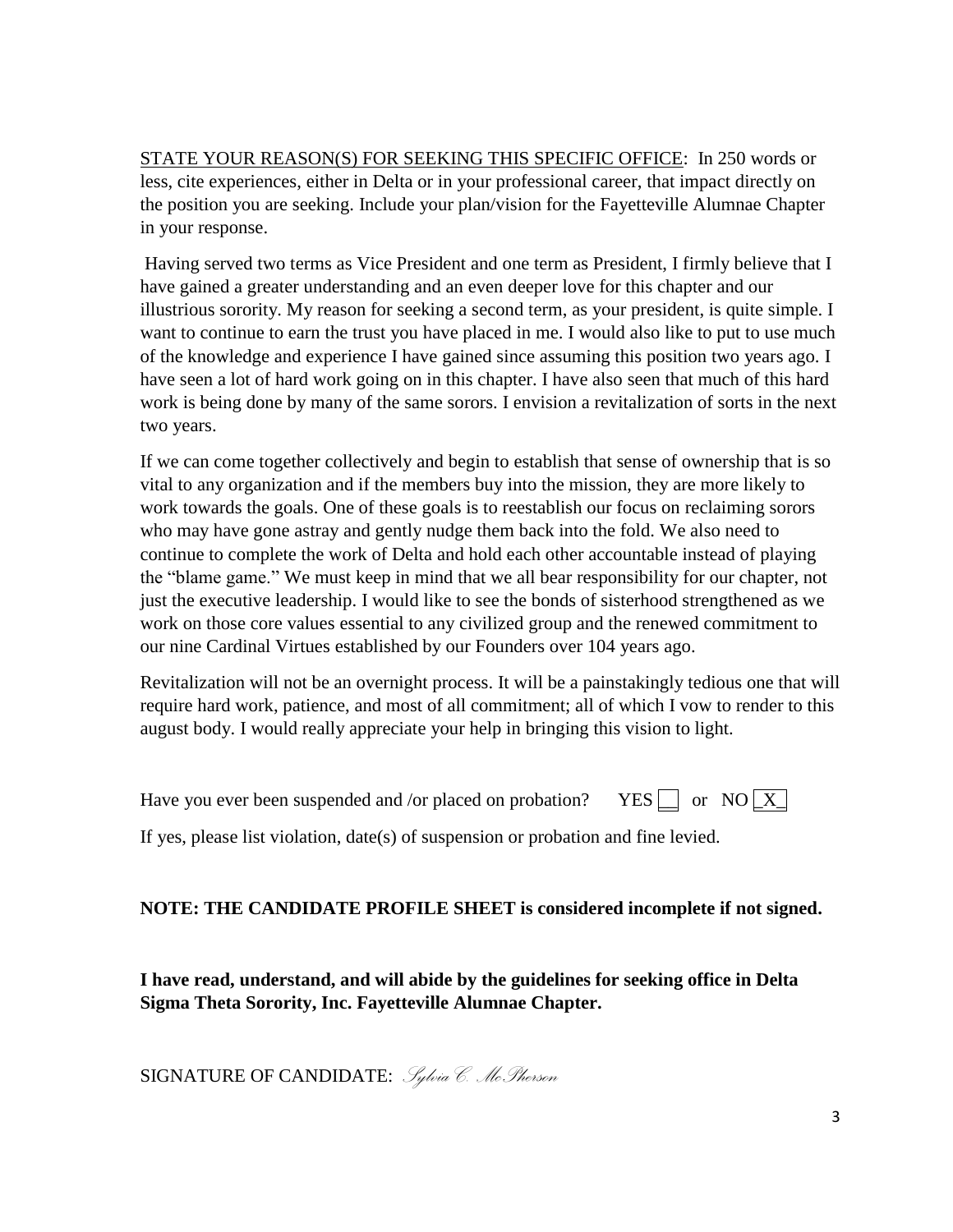STATE YOUR REASON(S) FOR SEEKING THIS SPECIFIC OFFICE: In 250 words or less, cite experiences, either in Delta or in your professional career, that impact directly on the position you are seeking. Include your plan/vision for the Fayetteville Alumnae Chapter in your response.

Having served two terms as Vice President and one term as President, I firmly believe that I have gained a greater understanding and an even deeper love for this chapter and our illustrious sorority. My reason for seeking a second term, as your president, is quite simple. I want to continue to earn the trust you have placed in me. I would also like to put to use much of the knowledge and experience I have gained since assuming this position two years ago. I have seen a lot of hard work going on in this chapter. I have also seen that much of this hard work is being done by many of the same sorors. I envision a revitalization of sorts in the next two years.

If we can come together collectively and begin to establish that sense of ownership that is so vital to any organization and if the members buy into the mission, they are more likely to work towards the goals. One of these goals is to reestablish our focus on reclaiming sorors who may have gone astray and gently nudge them back into the fold. We also need to continue to complete the work of Delta and hold each other accountable instead of playing the "blame game." We must keep in mind that we all bear responsibility for our chapter, not just the executive leadership. I would like to see the bonds of sisterhood strengthened as we work on those core values essential to any civilized group and the renewed commitment to our nine Cardinal Virtues established by our Founders over 104 years ago.

Revitalization will not be an overnight process. It will be a painstakingly tedious one that will require hard work, patience, and most of all commitment; all of which I vow to render to this august body. I would really appreciate your help in bringing this vision to light.

Have you ever been suspended and /or placed on probation? YES  $\Box$  or NO  $\Box$ 

If yes, please list violation, date(s) of suspension or probation and fine levied.

## **NOTE: THE CANDIDATE PROFILE SHEET is considered incomplete if not signed.**

**I have read, understand, and will abide by the guidelines for seeking office in Delta Sigma Theta Sorority, Inc. Fayetteville Alumnae Chapter.**

SIGNATURE OF CANDIDATE: *Sylvia C. McPherson*